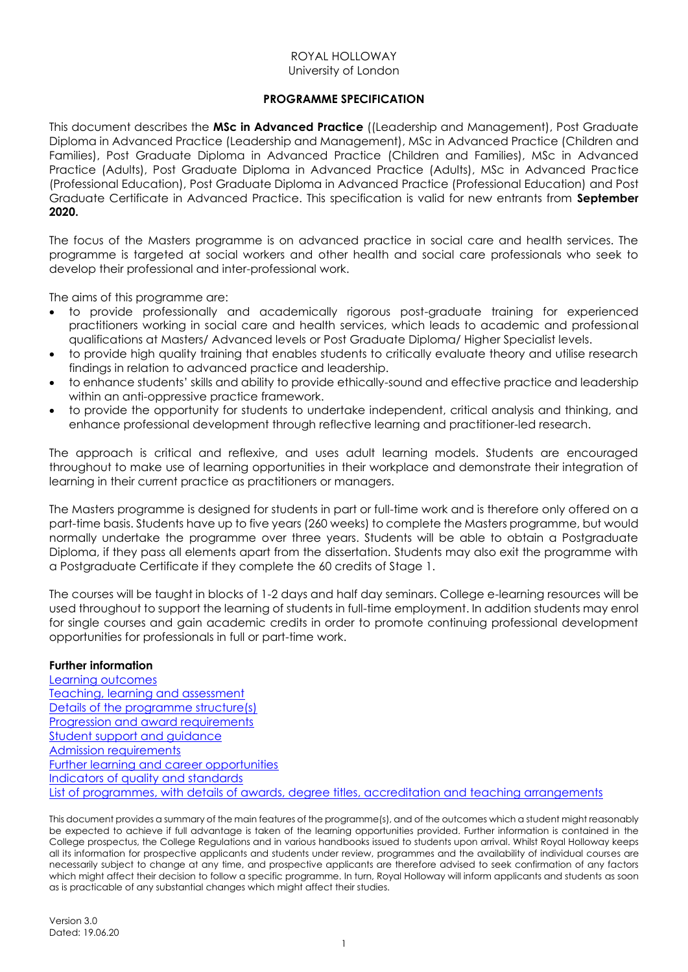# ROYAL HOLLOWAY University of London

# **PROGRAMME SPECIFICATION**

<span id="page-0-0"></span>This document describes the **MSc in Advanced Practice** ((Leadership and Management), Post Graduate Diploma in Advanced Practice (Leadership and Management), MSc in Advanced Practice (Children and Families), Post Graduate Diploma in Advanced Practice (Children and Families), MSc in Advanced Practice (Adults), Post Graduate Diploma in Advanced Practice (Adults), MSc in Advanced Practice (Professional Education), Post Graduate Diploma in Advanced Practice (Professional Education) and Post Graduate Certificate in Advanced Practice. This specification is valid for new entrants from **September 2020.**

The focus of the Masters programme is on advanced practice in social care and health services. The programme is targeted at social workers and other health and social care professionals who seek to develop their professional and inter-professional work.

The aims of this programme are:

- to provide professionally and academically rigorous post-graduate training for experienced practitioners working in social care and health services, which leads to academic and professional qualifications at Masters/ Advanced levels or Post Graduate Diploma/ Higher Specialist levels.
- to provide high quality training that enables students to critically evaluate theory and utilise research findings in relation to advanced practice and leadership.
- to enhance students' skills and ability to provide ethically-sound and effective practice and leadership within an anti-oppressive practice framework.
- to provide the opportunity for students to undertake independent, critical analysis and thinking, and enhance professional development through reflective learning and practitioner-led research.

The approach is critical and reflexive, and uses adult learning models. Students are encouraged throughout to make use of learning opportunities in their workplace and demonstrate their integration of learning in their current practice as practitioners or managers.

The Masters programme is designed for students in part or full-time work and is therefore only offered on a part-time basis. Students have up to five years (260 weeks) to complete the Masters programme, but would normally undertake the programme over three years. Students will be able to obtain a Postgraduate Diploma, if they pass all elements apart from the dissertation. Students may also exit the programme with a Postgraduate Certificate if they complete the 60 credits of Stage 1.

The courses will be taught in blocks of 1-2 days and half day seminars. College e-learning resources will be used throughout to support the learning of students in full-time employment. In addition students may enrol for single courses and gain academic credits in order to promote continuing professional development opportunities for professionals in full or part-time work.

### **Further information**

[Learning outcomes](#page-1-0) [Teaching, learning and assessment](#page-2-0) [Details of the programme structure\(s\)](#page-2-1) [Progression and award requirements](#page-3-0) [Student support and guidance](#page-4-0) [Admission requirements](#page-4-1) [Further learning and career opportunities](#page-4-2) [Indicators of quality and standards](#page-4-3) [List of programmes, with details of awards, degree titles, accreditation and teaching arrangements](#page-5-0)

This document provides a summary of the main features of the programme(s), and of the outcomes which a student might reasonably be expected to achieve if full advantage is taken of the learning opportunities provided. Further information is contained in the College prospectus, the College Regulations and in various handbooks issued to students upon arrival. Whilst Royal Holloway keeps all its information for prospective applicants and students under review, programmes and the availability of individual courses are necessarily subject to change at any time, and prospective applicants are therefore advised to seek confirmation of any factors which might affect their decision to follow a specific programme. In turn, Royal Holloway will inform applicants and students as soon as is practicable of any substantial changes which might affect their studies.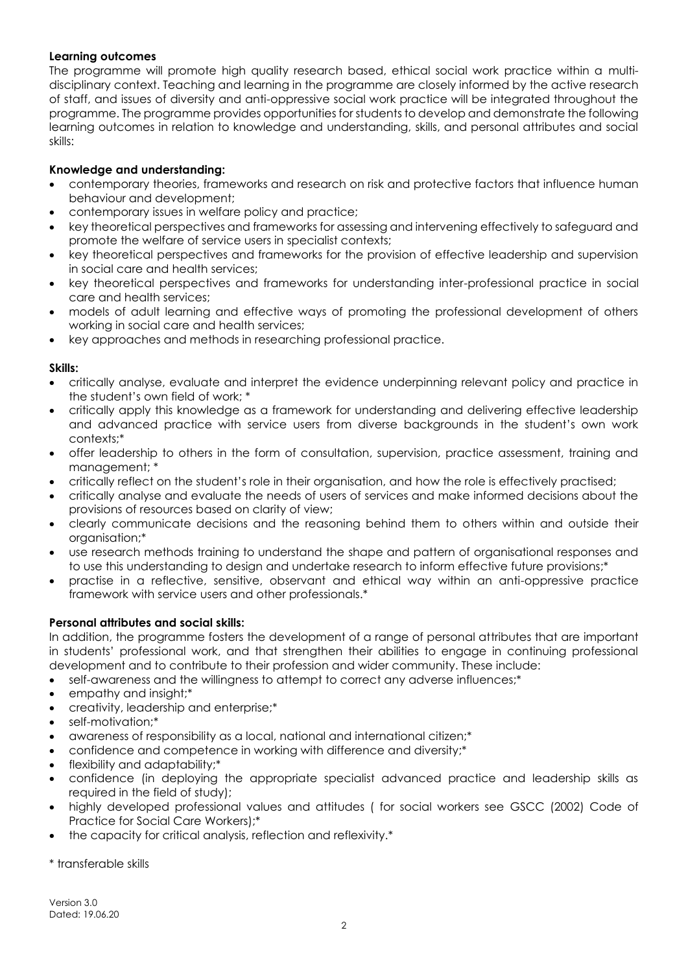# <span id="page-1-0"></span>**Learning outcomes**

The programme will promote high quality research based, ethical social work practice within a multidisciplinary context. Teaching and learning in the programme are closely informed by the active research of staff, and issues of diversity and anti-oppressive social work practice will be integrated throughout the programme. The programme provides opportunities for students to develop and demonstrate the following learning outcomes in relation to knowledge and understanding, skills, and personal attributes and social skills:

# **Knowledge and understanding:**

- contemporary theories, frameworks and research on risk and protective factors that influence human behaviour and development;
- contemporary issues in welfare policy and practice;
- key theoretical perspectives and frameworks for assessing and intervening effectively to safeguard and promote the welfare of service users in specialist contexts;
- key theoretical perspectives and frameworks for the provision of effective leadership and supervision in social care and health services;
- key theoretical perspectives and frameworks for understanding inter-professional practice in social care and health services;
- models of adult learning and effective ways of promoting the professional development of others working in social care and health services;
- key approaches and methods in researching professional practice.

# **Skills:**

- critically analyse, evaluate and interpret the evidence underpinning relevant policy and practice in the student's own field of work; \*
- critically apply this knowledge as a framework for understanding and delivering effective leadership and advanced practice with service users from diverse backgrounds in the student's own work contexts;\*
- offer leadership to others in the form of consultation, supervision, practice assessment, training and management; \*
- critically reflect on the student's role in their organisation, and how the role is effectively practised;
- critically analyse and evaluate the needs of users of services and make informed decisions about the provisions of resources based on clarity of view;
- clearly communicate decisions and the reasoning behind them to others within and outside their organisation;\*
- use research methods training to understand the shape and pattern of organisational responses and to use this understanding to design and undertake research to inform effective future provisions;\*
- practise in a reflective, sensitive, observant and ethical way within an anti-oppressive practice framework with service users and other professionals.\*

# **Personal attributes and social skills:**

In addition, the programme fosters the development of a range of personal attributes that are important in students' professional work, and that strengthen their abilities to engage in continuing professional development and to contribute to their profession and wider community. These include:

- self-awareness and the willingness to attempt to correct any adverse influences;\*
- empathy and insight;\*
- creativity, leadership and enterprise;\*
- self-motivation;\*
- awareness of responsibility as a local, national and international citizen;\*
- confidence and competence in working with difference and diversity;\*
- flexibility and adaptability;\*
- confidence (in deploying the appropriate specialist advanced practice and leadership skills as required in the field of study);
- highly developed professional values and attitudes ( for social workers see GSCC (2002) Code of Practice for Social Care Workers);\*
- the capacity for critical analysis, reflection and reflexivity.\*

\* transferable skills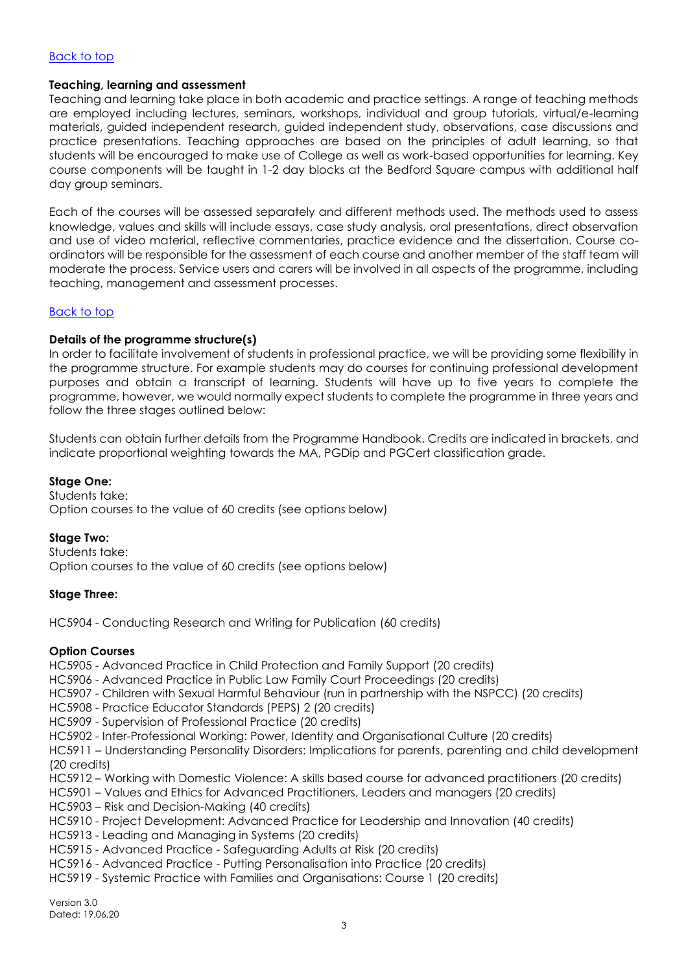### [Back to top](#page-0-0)

### <span id="page-2-0"></span>**Teaching, learning and assessment**

Teaching and learning take place in both academic and practice settings. A range of teaching methods are employed including lectures, seminars, workshops, individual and group tutorials, virtual/e-learning materials, guided independent research, guided independent study, observations, case discussions and practice presentations. Teaching approaches are based on the principles of adult learning, so that students will be encouraged to make use of College as well as work-based opportunities for learning. Key course components will be taught in 1-2 day blocks at the Bedford Square campus with additional half day group seminars.

Each of the courses will be assessed separately and different methods used. The methods used to assess knowledge, values and skills will include essays, case study analysis, oral presentations, direct observation and use of video material, reflective commentaries, practice evidence and the dissertation. Course coordinators will be responsible for the assessment of each course and another member of the staff team will moderate the process. Service users and carers will be involved in all aspects of the programme, including teaching, management and assessment processes.

### [Back to top](#page-0-0)

### <span id="page-2-1"></span>**Details of the programme structure(s)**

In order to facilitate involvement of students in professional practice, we will be providing some flexibility in the programme structure. For example students may do courses for continuing professional development purposes and obtain a transcript of learning. Students will have up to five years to complete the programme, however, we would normally expect students to complete the programme in three years and follow the three stages outlined below:

Students can obtain further details from the Programme Handbook. Credits are indicated in brackets, and indicate proportional weighting towards the MA, PGDip and PGCert classification grade.

### **Stage One:**

Students take: Option courses to the value of 60 credits (see options below)

#### **Stage Two:**

Students take: Option courses to the value of 60 credits (see options below)

### **Stage Three:**

HC5904 - Conducting Research and Writing for Publication (60 credits)

#### **Option Courses**

HC5905 - Advanced Practice in Child Protection and Family Support (20 credits)

HC5906 - Advanced Practice in Public Law Family Court Proceedings (20 credits)

- HC5907 Children with Sexual Harmful Behaviour (run in partnership with the NSPCC) (20 credits)
- HC5908 Practice Educator Standards (PEPS) 2 (20 credits)
- HC5909 Supervision of Professional Practice (20 credits)
- HC5902 Inter-Professional Working: Power, Identity and Organisational Culture (20 credits)

HC5911 – Understanding Personality Disorders: Implications for parents, parenting and child development (20 credits)

- HC5912 Working with Domestic Violence: A skills based course for advanced practitioners (20 credits)
- HC5901 Values and Ethics for Advanced Practitioners, Leaders and managers (20 credits)
- HC5903 Risk and Decision-Making (40 credits)
- HC5910 Project Development: Advanced Practice for Leadership and Innovation (40 credits)
- HC5913 Leading and Managing in Systems (20 credits)
- HC5915 Advanced Practice Safeguarding Adults at Risk (20 credits)
- HC5916 Advanced Practice Putting Personalisation into Practice (20 credits)
- HC5919 Systemic Practice with Families and Organisations: Course 1 (20 credits)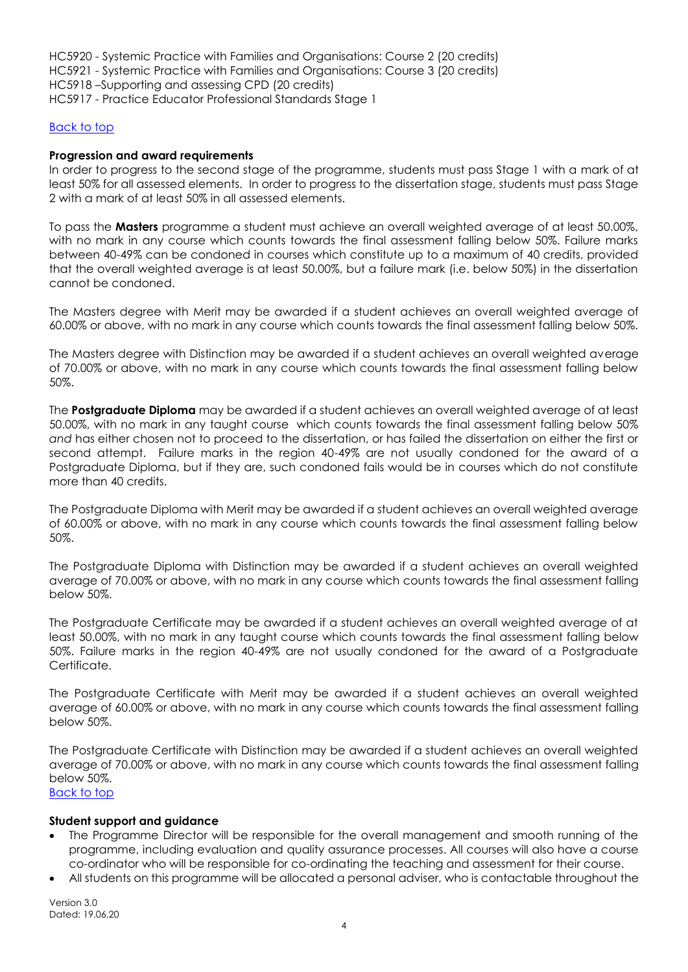HC5920 - Systemic Practice with Families and Organisations: Course 2 (20 credits) HC5921 - Systemic Practice with Families and Organisations: Course 3 (20 credits) HC5918 –Supporting and assessing CPD (20 credits) HC5917 - Practice Educator Professional Standards Stage 1

### [Back to top](#page-0-0)

### <span id="page-3-0"></span>**Progression and award requirements**

In order to progress to the second stage of the programme, students must pass Stage 1 with a mark of at least 50% for all assessed elements. In order to progress to the dissertation stage, students must pass Stage 2 with a mark of at least 50% in all assessed elements.

To pass the **Masters** programme a student must achieve an overall weighted average of at least 50.00%, with no mark in any course which counts towards the final assessment falling below 50%. Failure marks between 40-49% can be condoned in courses which constitute up to a maximum of 40 credits, provided that the overall weighted average is at least 50.00%, but a failure mark (i.e. below 50%) in the dissertation cannot be condoned.

The Masters degree with Merit may be awarded if a student achieves an overall weighted average of 60.00% or above, with no mark in any course which counts towards the final assessment falling below 50%.

The Masters degree with Distinction may be awarded if a student achieves an overall weighted average of 70.00% or above, with no mark in any course which counts towards the final assessment falling below 50%.

The **Postgraduate Diploma** may be awarded if a student achieves an overall weighted average of at least 50.00%, with no mark in any taught course which counts towards the final assessment falling below 50% *and* has either chosen not to proceed to the dissertation, or has failed the dissertation on either the first or second attempt. Failure marks in the region 40-49% are not usually condoned for the award of a Postgraduate Diploma, but if they are, such condoned fails would be in courses which do not constitute more than 40 credits.

The Postgraduate Diploma with Merit may be awarded if a student achieves an overall weighted average of 60.00% or above, with no mark in any course which counts towards the final assessment falling below 50%.

The Postgraduate Diploma with Distinction may be awarded if a student achieves an overall weighted average of 70.00% or above, with no mark in any course which counts towards the final assessment falling below 50%.

The Postgraduate Certificate may be awarded if a student achieves an overall weighted average of at least 50.00%, with no mark in any taught course which counts towards the final assessment falling below 50%. Failure marks in the region 40-49% are not usually condoned for the award of a Postgraduate Certificate.

The Postgraduate Certificate with Merit may be awarded if a student achieves an overall weighted average of 60.00% or above, with no mark in any course which counts towards the final assessment falling below 50%.

The Postgraduate Certificate with Distinction may be awarded if a student achieves an overall weighted average of 70.00% or above, with no mark in any course which counts towards the final assessment falling below 50%.

[Back to top](#page-0-0)

### **Student support and guidance**

- The Programme Director will be responsible for the overall management and smooth running of the programme, including evaluation and quality assurance processes. All courses will also have a course co-ordinator who will be responsible for co-ordinating the teaching and assessment for their course.
- All students on this programme will be allocated a personal adviser, who is contactable throughout the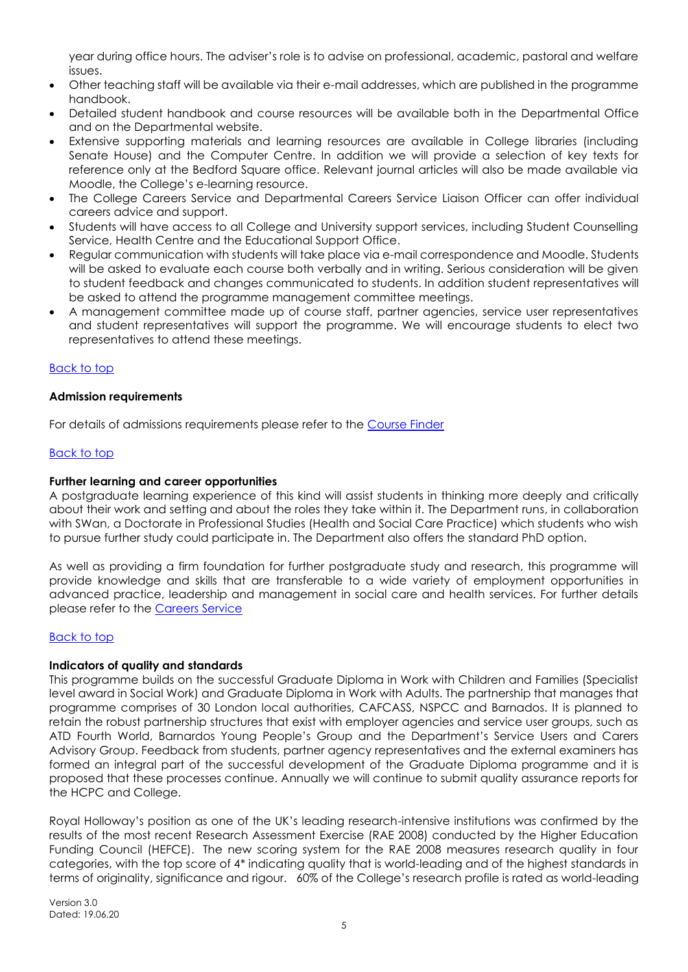year during office hours. The adviser's role is to advise on professional, academic, pastoral and welfare issues.

- Other teaching staff will be available via their e-mail addresses, which are published in the programme handbook.
- Detailed student handbook and course resources will be available both in the Departmental Office and on the Departmental website.
- Extensive supporting materials and learning resources are available in College libraries (including Senate House) and the Computer Centre. In addition we will provide a selection of key texts for reference only at the Bedford Square office. Relevant journal articles will also be made available via Moodle, the College's e-learning resource.
- The College Careers Service and Departmental Careers Service Liaison Officer can offer individual careers advice and support.
- Students will have access to all College and University support services, including Student Counselling Service, Health Centre and the Educational Support Office.
- Regular communication with students will take place via e-mail correspondence and Moodle. Students will be asked to evaluate each course both verbally and in writing. Serious consideration will be given to student feedback and changes communicated to students. In addition student representatives will be asked to attend the programme management committee meetings.
- A management committee made up of course staff, partner agencies, service user representatives and student representatives will support the programme. We will encourage students to elect two representatives to attend these meetings.

# <span id="page-4-0"></span>[Back to top](#page-0-0)

### <span id="page-4-1"></span>**Admission requirements**

For details of admissions requirements please refer to the [Course Finder](https://www.royalholloway.ac.uk/socialwork/coursefinder/mscadvancedpractice.aspx)

### [Back to top](#page-0-0)

### <span id="page-4-2"></span>**Further learning and career opportunities**

A postgraduate learning experience of this kind will assist students in thinking more deeply and critically about their work and setting and about the roles they take within it. The Department runs, in collaboration with SWan, a Doctorate in Professional Studies (Health and Social Care Practice) which students who wish to pursue further study could participate in. The Department also offers the standard PhD option.

As well as providing a firm foundation for further postgraduate study and research, this programme will provide knowledge and skills that are transferable to a wide variety of employment opportunities in advanced practice, leadership and management in social care and health services. For further details please refer to the [Careers Service](http://www.rhul.ac.uk/careers/home.aspx)

#### [Back to top](#page-0-0)

#### <span id="page-4-3"></span>**Indicators of quality and standards**

This programme builds on the successful Graduate Diploma in Work with Children and Families (Specialist level award in Social Work) and Graduate Diploma in Work with Adults. The partnership that manages that programme comprises of 30 London local authorities, CAFCASS, NSPCC and Barnados. It is planned to retain the robust partnership structures that exist with employer agencies and service user groups, such as ATD Fourth World, Barnardos Young People's Group and the Department's Service Users and Carers Advisory Group. Feedback from students, partner agency representatives and the external examiners has formed an integral part of the successful development of the Graduate Diploma programme and it is proposed that these processes continue. Annually we will continue to submit quality assurance reports for the HCPC and College.

Royal Holloway's position as one of the UK's leading research-intensive institutions was confirmed by the results of the most recent Research Assessment Exercise (RAE 2008) conducted by the Higher Education Funding Council (HEFCE). The new scoring system for the RAE 2008 measures research quality in four categories, with the top score of 4\* indicating quality that is world-leading and of the highest standards in terms of originality, significance and rigour. 60% of the College's research profile is rated as world-leading